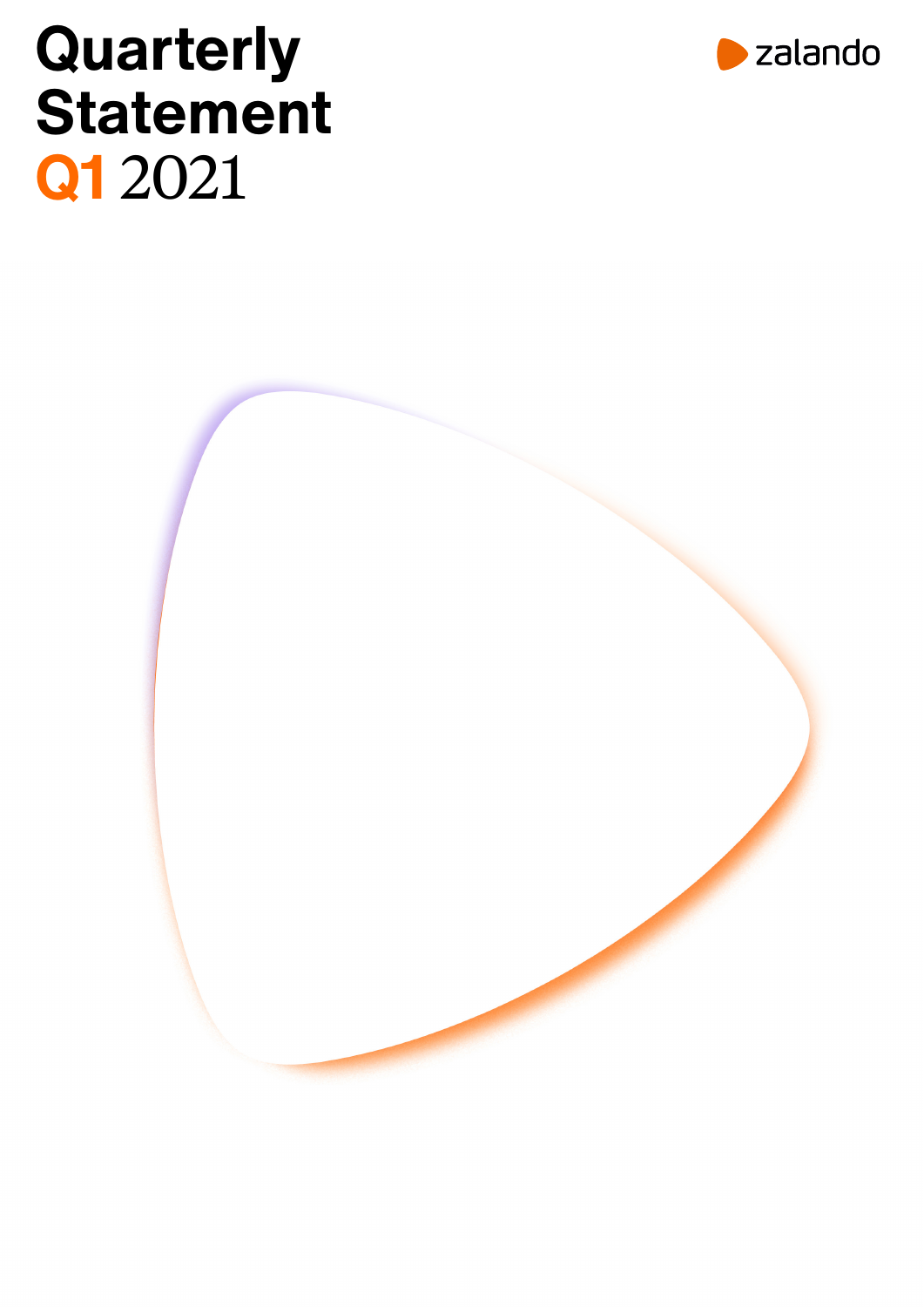# **Quarterly Statement Q1** 2021



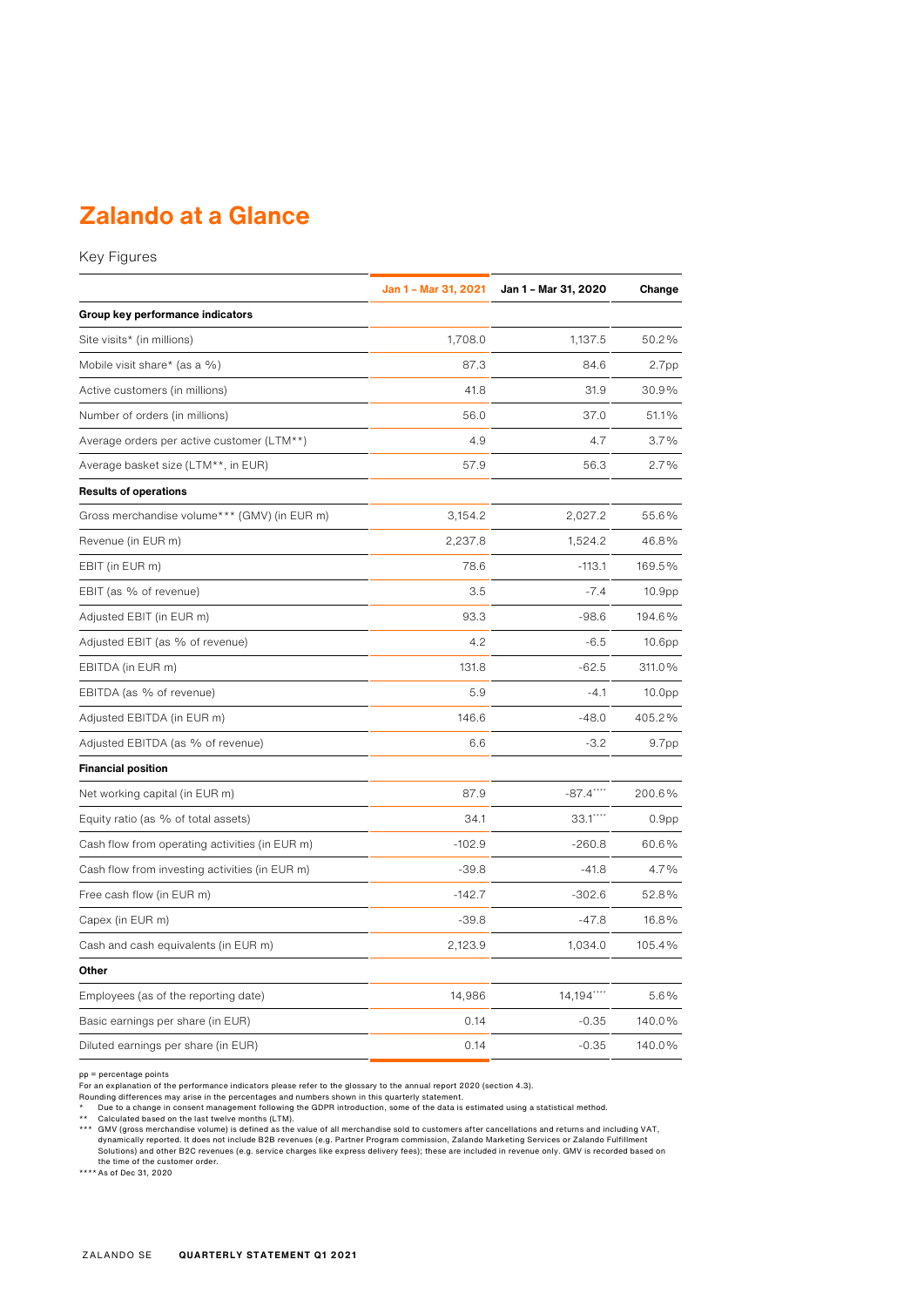## **Zalando at a Glance**

Key Figures

|                                                | Jan 1 - Mar 31, 2021 | Jan 1 - Mar 31, 2020 | Change             |
|------------------------------------------------|----------------------|----------------------|--------------------|
| Group key performance indicators               |                      |                      |                    |
| Site visits* (in millions)                     | 1,708.0              | 1,137.5              | 50.2%              |
| Mobile visit share* (as a %)                   | 87.3                 | 84.6                 | 2.7 <sub>pp</sub>  |
| Active customers (in millions)                 | 41.8                 | 31.9                 | 30.9%              |
| Number of orders (in millions)                 | 56.0                 | 37.0                 | 51.1%              |
| Average orders per active customer (LTM**)     | 4.9                  | 4.7                  | 3.7%               |
| Average basket size (LTM**, in EUR)            | 57.9                 | 56.3                 | 2.7%               |
| <b>Results of operations</b>                   |                      |                      |                    |
| Gross merchandise volume*** (GMV) (in EUR m)   | 3,154.2              | 2,027.2              | 55.6%              |
| Revenue (in EUR m)                             | 2,237.8              | 1,524.2              | 46.8%              |
| EBIT (in EUR m)                                | 78.6                 | $-113.1$             | 169.5%             |
| EBIT (as % of revenue)                         | 3.5                  | $-7.4$               | 10.9 <sub>pp</sub> |
| Adjusted EBIT (in EUR m)                       | 93.3                 | $-98.6$              | 194.6%             |
| Adjusted EBIT (as % of revenue)                | 4.2                  | $-6.5$               | 10.6 <sub>pp</sub> |
| EBITDA (in EUR m)                              | 131.8                | $-62.5$              | 311.0%             |
| EBITDA (as % of revenue)                       | 5.9                  | $-4.1$               | 10.0 <sub>pp</sub> |
| Adjusted EBITDA (in EUR m)                     | 146.6                | $-48.0$              | 405.2%             |
| Adjusted EBITDA (as % of revenue)              | 6.6                  | $-3.2$               | 9.7pp              |
| <b>Financial position</b>                      |                      |                      |                    |
| Net working capital (in EUR m)                 | 87.9                 | $-87.4***$           | 200.6%             |
| Equity ratio (as % of total assets)            | 34.1                 | 33.1****             | 0.9 <sub>pp</sub>  |
| Cash flow from operating activities (in EUR m) | $-102.9$             | $-260.8$             | 60.6%              |
| Cash flow from investing activities (in EUR m) | $-39.8$              | $-41.8$              | 4.7%               |
| Free cash flow (in EUR m)                      | $-142.7$             | $-302.6$             | 52.8%              |
| Capex (in EUR m)                               | $-39.8$              | $-47.8$              | 16.8%              |
| Cash and cash equivalents (in EUR m)           | 2,123.9              | 1,034.0              | 105.4%             |
| Other                                          |                      |                      |                    |
| Employees (as of the reporting date)           | 14,986               | 14,194****           | 5.6%               |
| Basic earnings per share (in EUR)              | 0.14                 | $-0.35$              | 140.0%             |
| Diluted earnings per share (in EUR)            | 0.14                 | $-0.35$              | 140.0%             |

pp = percentage points<br>For an explanation of the performance indicators please refer to the glossary to the annual report 2020 (section 4.3).<br>For an explanation of the performance indicators please refer to the glossary to the time of the customer order.<br>\*\*\*\* As of Dec 31, 2020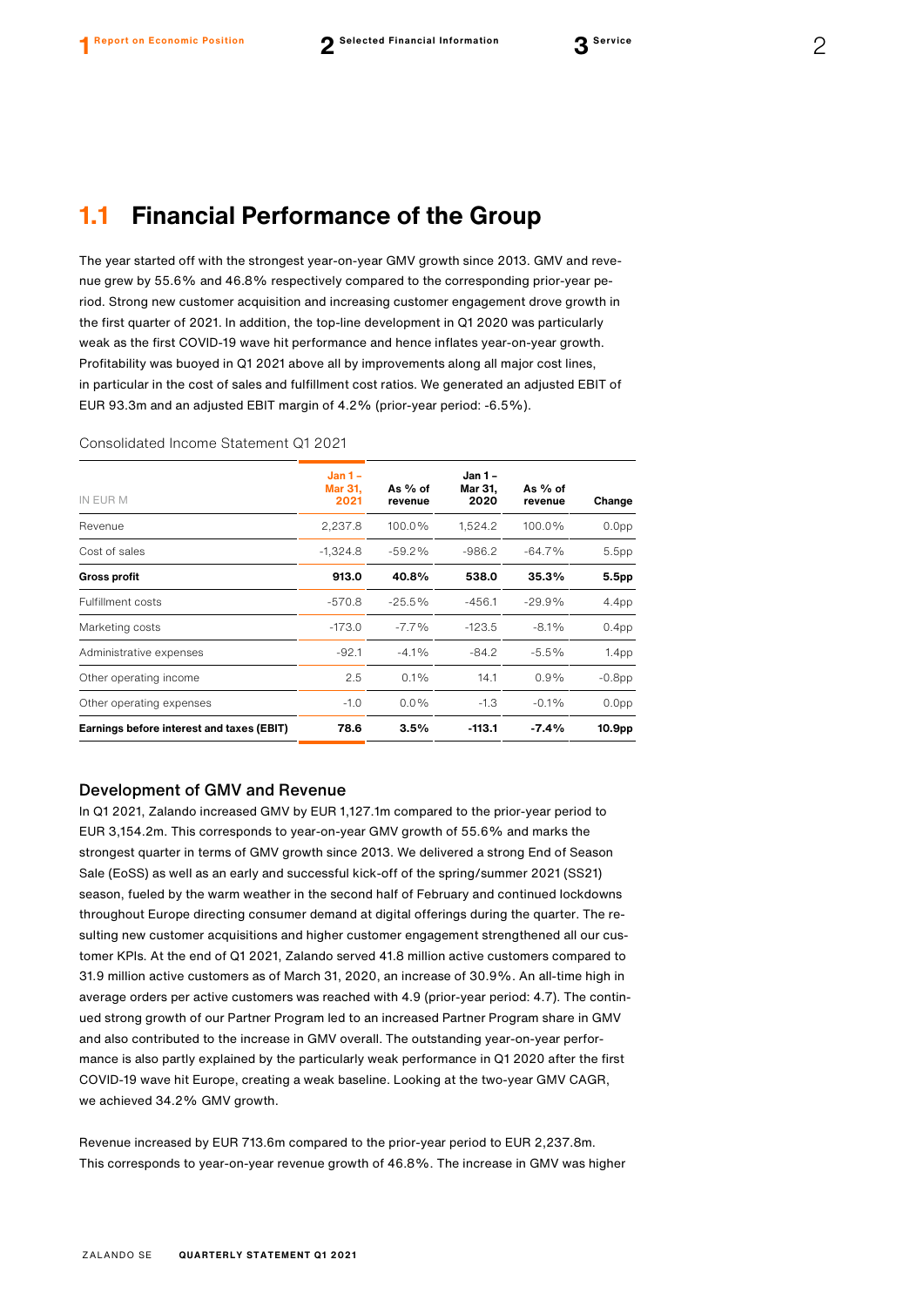The year started off with the strongest year-on-year GMV growth since 2013. GMV and revenue grew by 55.6% and 46.8% respectively compared to the corresponding prior-year period. Strong new customer acquisition and increasing customer engagement drove growth in the first quarter of 2021. In addition, the top-line development in Q1 2020 was particularly weak as the first COVID-19 wave hit performance and hence inflates year-on-year growth. Profitability was buoyed in Q1 2021 above all by improvements along all major cost lines, in particular in the cost of sales and fulfillment cost ratios. We generated an adjusted EBIT of EUR 93.3m and an adjusted EBIT margin of 4.2% (prior-year period: -6.5%).

| IN EUR M                                  | $Jan 1 -$<br><b>Mar 31.</b><br>2021 | As % of<br>revenue | Jan 1 -<br>Mar 31,<br>2020 | As % of<br>revenue | Change            |
|-------------------------------------------|-------------------------------------|--------------------|----------------------------|--------------------|-------------------|
| Revenue                                   | 2,237.8                             | 100.0%             | 1,524.2                    | 100.0%             | 0.0 <sub>pp</sub> |
| Cost of sales                             | $-1,324.8$                          | $-59.2%$           | $-986.2$                   | $-64.7%$           | 5.5pp             |
| <b>Gross profit</b>                       | 913.0                               | 40.8%              | 538.0                      | 35.3%              | 5.5pp             |
| <b>Fulfillment costs</b>                  | $-570.8$                            | $-25.5%$           | $-456.1$                   | $-29.9%$           | 4.4pp             |
| Marketing costs                           | $-173.0$                            | $-7.7%$            | $-123.5$                   | $-8.1%$            | 0.4 <sub>pp</sub> |
| Administrative expenses                   | $-92.1$                             | $-4.1\%$           | $-84.2$                    | $-5.5%$            | 1.4 <sub>pp</sub> |
| Other operating income                    | 2.5                                 | 0.1%               | 14.1                       | $0.9\%$            | $-0.8$ pp         |
| Other operating expenses                  | $-1.0$                              | $0.0\%$            | $-1.3$                     | $-0.1%$            | 0.0 <sub>pp</sub> |
| Earnings before interest and taxes (EBIT) | 78.6                                | 3.5%               | $-113.1$                   | $-7.4%$            | 10.9pp            |

#### Consolidated Income Statement Q1 2021

#### Development of GMV and Revenue

In Q1 2021, Zalando increased GMV by EUR 1,127.1m compared to the prior-year period to EUR 3,154.2m. This corresponds to year-on-year GMV growth of 55.6% and marks the strongest quarter in terms of GMV growth since 2013. We delivered a strong End of Season Sale (EoSS) as well as an early and successful kick-off of the spring/summer 2021 (SS21) season, fueled by the warm weather in the second half of February and continued lockdowns throughout Europe directing consumer demand at digital offerings during the quarter. The resulting new customer acquisitions and higher customer engagement strengthened all our customer KPIs. At the end of Q1 2021, Zalando served 41.8 million active customers compared to 31.9 million active customers as of March 31, 2020, an increase of 30.9%. An all-time high in average orders per active customers was reached with 4.9 (prior-year period: 4.7). The continued strong growth of our Partner Program led to an increased Partner Program share in GMV and also contributed to the increase in GMV overall. The outstanding year-on-year performance is also partly explained by the particularly weak performance in Q1 2020 after the first COVID-19 wave hit Europe, creating a weak baseline. Looking at the two-year GMV CAGR, we achieved 34.2% GMV growth.

Revenue increased by EUR 713.6m compared to the prior-year period to EUR 2,237.8m. This corresponds to year-on-year revenue growth of 46.8%. The increase in GMV was higher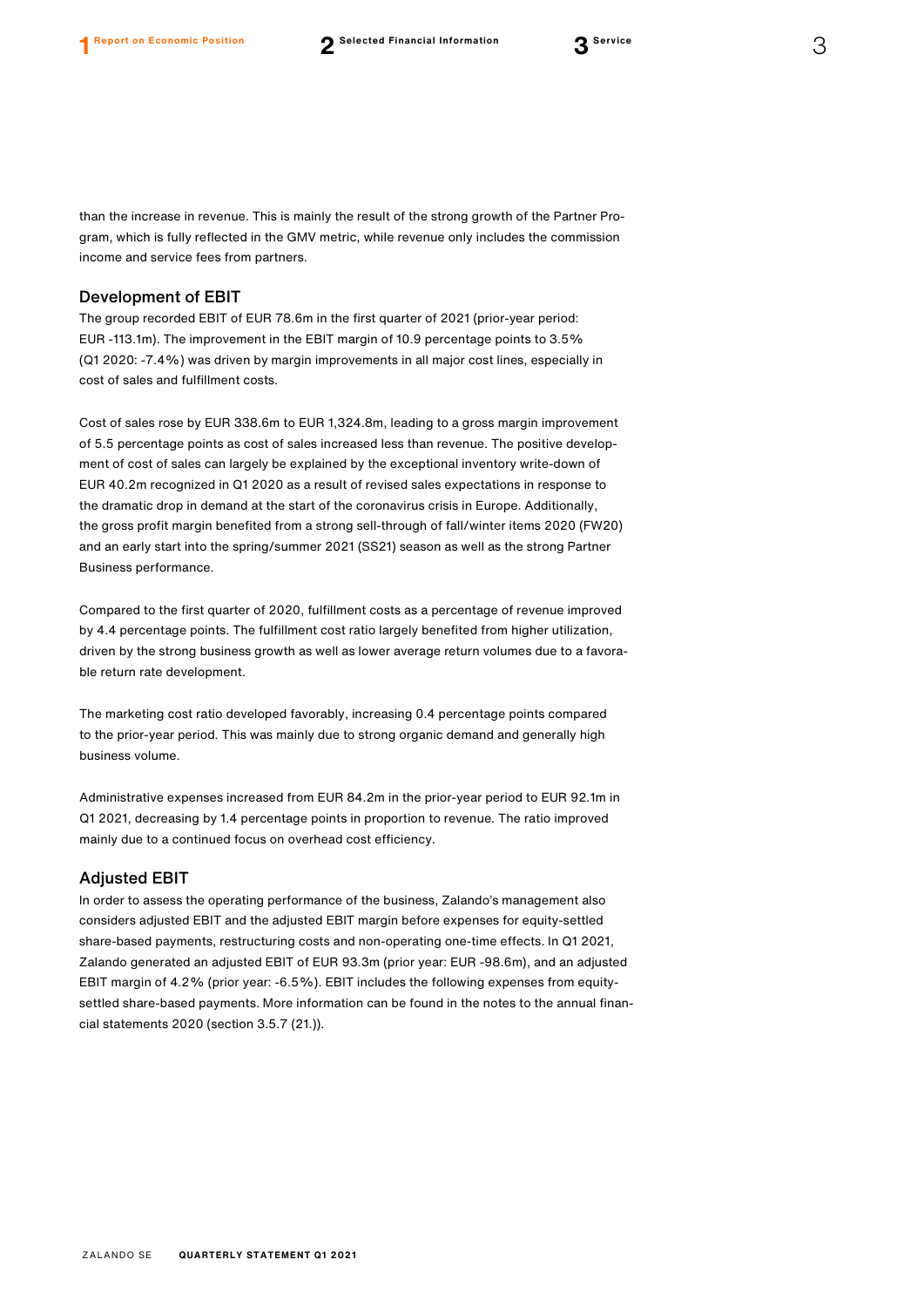than the increase in revenue. This is mainly the result of the strong growth of the Partner Program, which is fully reflected in the GMV metric, while revenue only includes the commission income and service fees from partners.

#### Development of EBIT

The group recorded EBIT of EUR 78.6m in the first quarter of 2021 (prior-year period: EUR -113.1m). The improvement in the EBIT margin of 10.9 percentage points to 3.5% (Q1 2020: -7.4%) was driven by margin improvements in all major cost lines, especially in cost of sales and fulfillment costs.

Cost of sales rose by EUR 338.6m to EUR 1,324.8m, leading to a gross margin improvement of 5.5 percentage points as cost of sales increased less than revenue. The positive development of cost of sales can largely be explained by the exceptional inventory write-down of EUR 40.2m recognized in Q1 2020 as a result of revised sales expectations in response to the dramatic drop in demand at the start of the coronavirus crisis in Europe. Additionally, the gross profit margin benefited from a strong sell-through of fall/winter items 2020 (FW20) and an early start into the spring/summer 2021 (SS21) season as well as the strong Partner Business performance.

Compared to the first quarter of 2020, fulfillment costs as a percentage of revenue improved by 4.4 percentage points. The fulfillment cost ratio largely benefited from higher utilization, driven by the strong business growth as well as lower average return volumes due to a favorable return rate development.

The marketing cost ratio developed favorably, increasing 0.4 percentage points compared to the prior-year period. This was mainly due to strong organic demand and generally high business volume.

Administrative expenses increased from EUR 84.2m in the prior-year period to EUR 92.1m in Q1 2021, decreasing by 1.4 percentage points in proportion to revenue. The ratio improved mainly due to a continued focus on overhead cost efficiency.

#### Adjusted EBIT

In order to assess the operating performance of the business, Zalando's management also considers adjusted EBIT and the adjusted EBIT margin before expenses for equity-settled share-based payments, restructuring costs and non-operating one-time effects. In Q1 2021, Zalando generated an adjusted EBIT of EUR 93.3m (prior year: EUR -98.6m), and an adjusted EBIT margin of 4.2% (prior year: -6.5%). EBIT includes the following expenses from equitysettled share-based payments. More information can be found in the notes to the annual financial statements 2020 (section 3.5.7 (21.)).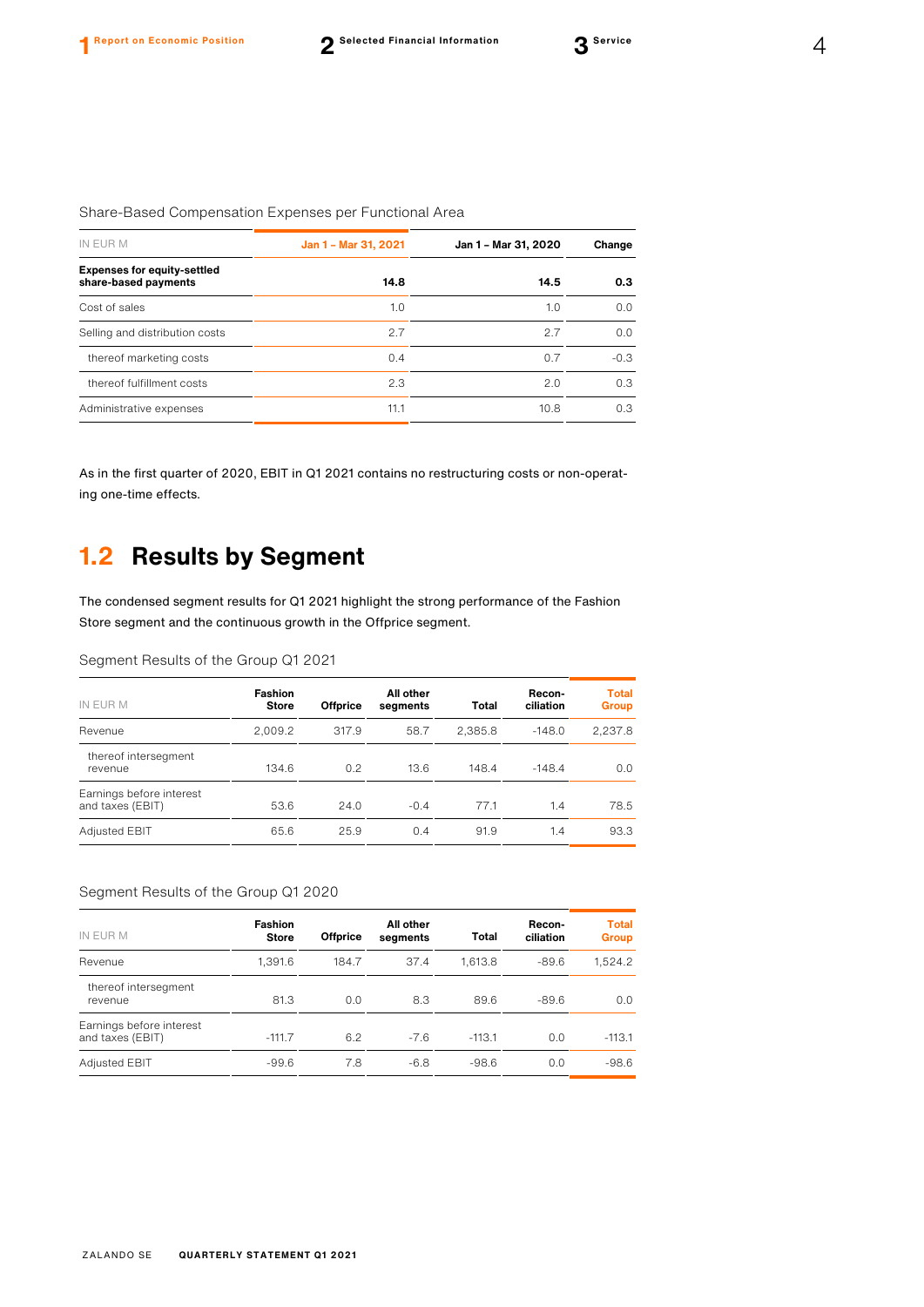| Jan 1 - Mar 31, 2021 | Jan 1 - Mar 31, 2020 | Change |  |
|----------------------|----------------------|--------|--|
| 14.8<br>14.5         |                      | 0.3    |  |
| 1.0                  | 1.0                  | 0.0    |  |
| 2.7                  | 2.7                  | 0.0    |  |
| 0.4                  | 0.7                  | $-0.3$ |  |
| 2.3                  | 2.0                  | 0.3    |  |
| 11.1                 | 10.8                 | 0.3    |  |
|                      |                      |        |  |

As in the first quarter of 2020, EBIT in Q1 2021 contains no restructuring costs or non-operating one-time effects.

### **1.2 Results by Segment**

The condensed segment results for Q1 2021 highlight the strong performance of the Fashion Store segment and the continuous growth in the Offprice segment.

#### Segment Results of the Group Q1 2021

| IN EUR M                                     | <b>Fashion</b><br><b>Store</b> | <b>Offprice</b> | All other<br>segments | Total   | Recon-<br>ciliation | <b>Total</b><br><b>Group</b> |
|----------------------------------------------|--------------------------------|-----------------|-----------------------|---------|---------------------|------------------------------|
| Revenue                                      | 2,009.2                        | 317.9           | 58.7                  | 2,385.8 | $-148.0$            | 2,237.8                      |
| thereof intersegment<br>revenue              | 134.6                          | 0.2             | 13.6                  | 148.4   | $-148.4$            | 0.0                          |
| Earnings before interest<br>and taxes (EBIT) | 53.6                           | 24.0            | $-0.4$                | 77.1    | 1.4                 | 78.5                         |
| Adjusted EBIT                                | 65.6                           | 25.9            | 0.4                   | 91.9    | 1.4                 | 93.3                         |

#### Segment Results of the Group Q1 2020

| IN EUR M                                     | <b>Fashion</b><br><b>Store</b> | <b>Offprice</b> | All other<br>segments | <b>Total</b> | Recon-<br>ciliation | <b>Total</b><br><b>Group</b> |
|----------------------------------------------|--------------------------------|-----------------|-----------------------|--------------|---------------------|------------------------------|
| Revenue                                      | 1,391.6                        | 184.7           | 37.4                  | 1.613.8      | $-89.6$             | 1.524.2                      |
| thereof intersegment<br>revenue              | 81.3                           | 0.0             | 8.3                   | 89.6         | $-89.6$             | 0.0                          |
| Earnings before interest<br>and taxes (EBIT) | $-111.7$                       | 6.2             | $-7.6$                | $-113.1$     | 0.0                 | $-113.1$                     |
| Adjusted EBIT                                | $-99.6$                        | 7.8             | $-6.8$                | $-98.6$      | 0.0                 | $-98.6$                      |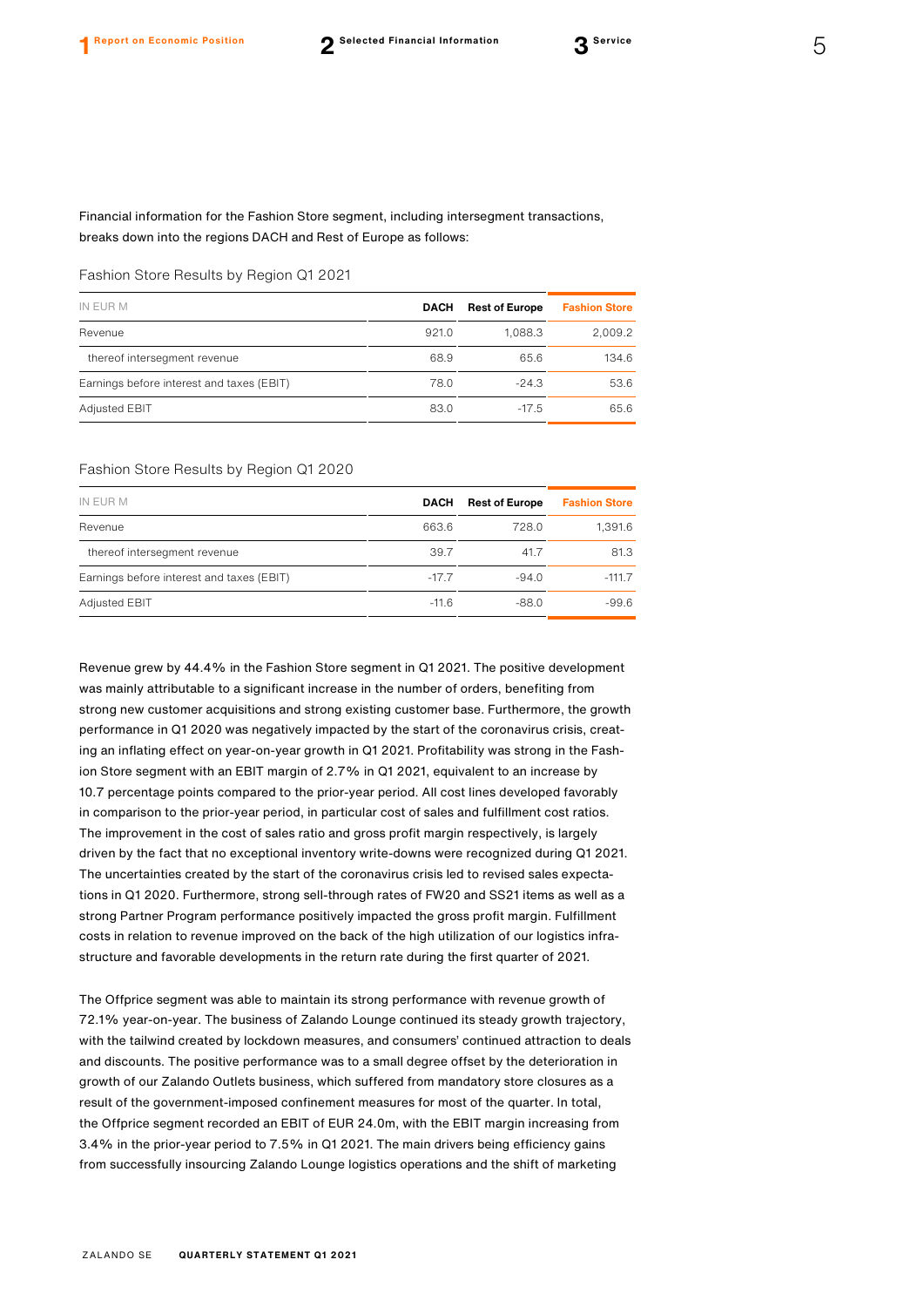Financial information for the Fashion Store segment, including intersegment transactions, breaks down into the regions DACH and Rest of Europe as follows:

#### Fashion Store Results by Region Q1 2021

| IN EUR M                                  | <b>DACH</b> | <b>Rest of Europe</b> | <b>Fashion Store</b> |
|-------------------------------------------|-------------|-----------------------|----------------------|
| Revenue                                   | 921.0       | 1.088.3               | 2,009.2              |
| thereof intersegment revenue              | 68.9        | 65.6                  | 134.6                |
| Earnings before interest and taxes (EBIT) | 78.0        | $-24.3$               | 53.6                 |
| <b>Adjusted EBIT</b>                      | 83.0        | $-17.5$               | 65.6                 |
|                                           |             |                       |                      |

#### Fashion Store Results by Region Q1 2020

| IN EUR M                                  | <b>DACH</b> | <b>Rest of Europe</b> | <b>Fashion Store</b> |
|-------------------------------------------|-------------|-----------------------|----------------------|
| Revenue                                   | 663.6       | 728.0                 | 1.391.6              |
| thereof intersegment revenue              | 39.7        | 41.7                  | 81.3                 |
| Earnings before interest and taxes (EBIT) | $-17.7$     | $-94.0$               | $-111.7$             |
| <b>Adjusted EBIT</b>                      | $-11.6$     | $-88.0$               | $-99.6$              |

Revenue grew by 44.4% in the Fashion Store segment in Q1 2021. The positive development was mainly attributable to a significant increase in the number of orders, benefiting from strong new customer acquisitions and strong existing customer base. Furthermore, the growth performance in Q1 2020 was negatively impacted by the start of the coronavirus crisis, creating an inflating effect on year-on-year growth in Q1 2021. Profitability was strong in the Fashion Store segment with an EBIT margin of 2.7% in Q1 2021, equivalent to an increase by 10.7 percentage points compared to the prior-year period. All cost lines developed favorably in comparison to the prior-year period, in particular cost of sales and fulfillment cost ratios. The improvement in the cost of sales ratio and gross profit margin respectively, is largely driven by the fact that no exceptional inventory write-downs were recognized during Q1 2021. The uncertainties created by the start of the coronavirus crisis led to revised sales expectations in Q1 2020. Furthermore, strong sell-through rates of FW20 and SS21 items as well as a strong Partner Program performance positively impacted the gross profit margin. Fulfillment costs in relation to revenue improved on the back of the high utilization of our logistics infrastructure and favorable developments in the return rate during the first quarter of 2021.

The Offprice segment was able to maintain its strong performance with revenue growth of 72.1% year-on-year. The business of Zalando Lounge continued its steady growth trajectory, with the tailwind created by lockdown measures, and consumers' continued attraction to deals and discounts. The positive performance was to a small degree offset by the deterioration in growth of our Zalando Outlets business, which suffered from mandatory store closures as a result of the government-imposed confinement measures for most of the quarter. In total, the Offprice segment recorded an EBIT of EUR 24.0m, with the EBIT margin increasing from 3.4% in the prior-year period to 7.5% in Q1 2021. The main drivers being efficiency gains from successfully insourcing Zalando Lounge logistics operations and the shift of marketing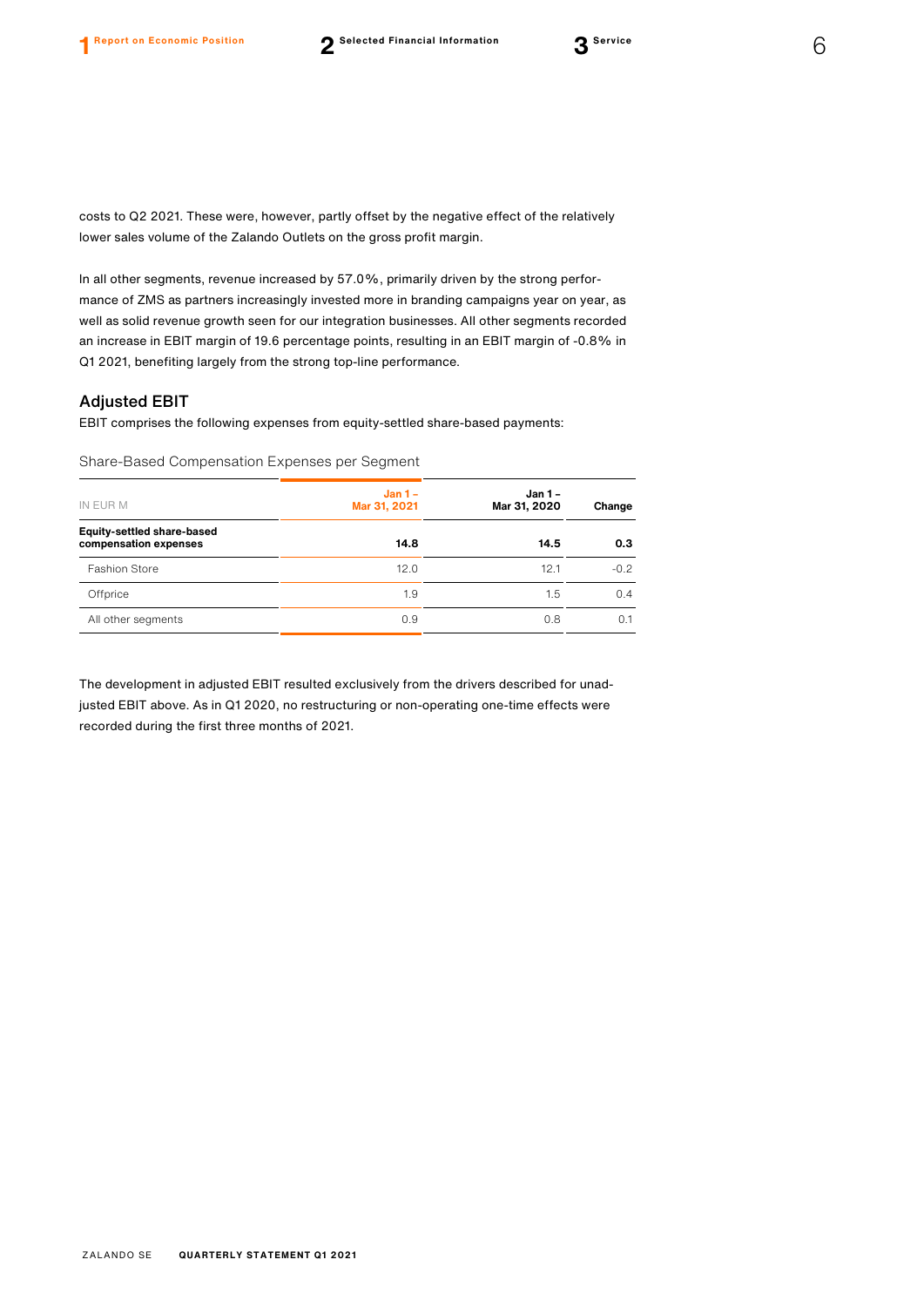costs to Q2 2021. These were, however, partly offset by the negative effect of the relatively lower sales volume of the Zalando Outlets on the gross profit margin.

In all other segments, revenue increased by 57.0%, primarily driven by the strong performance of ZMS as partners increasingly invested more in branding campaigns year on year, as well as solid revenue growth seen for our integration businesses. All other segments recorded an increase in EBIT margin of 19.6 percentage points, resulting in an EBIT margin of -0.8% in Q1 2021, benefiting largely from the strong top-line performance.

### Adjusted EBIT

EBIT comprises the following expenses from equity-settled share-based payments:

Share-Based Compensation Expenses per Segment

| IN EUR M                                                   | $Jan 1 -$<br>Mar 31, 2021 | <b>Jan 1-</b><br>Mar 31, 2020 | Change |  |
|------------------------------------------------------------|---------------------------|-------------------------------|--------|--|
| <b>Equity-settled share-based</b><br>compensation expenses | 14.8                      | 14.5                          | 0.3    |  |
| <b>Fashion Store</b>                                       | 12.0                      | 12.1                          | $-0.2$ |  |
| Offprice                                                   | 1.9                       | 1.5                           | 0.4    |  |
| All other segments                                         | 0.9                       | 0.8                           | 0.1    |  |

The development in adjusted EBIT resulted exclusively from the drivers described for unadjusted EBIT above. As in Q1 2020, no restructuring or non-operating one-time effects were recorded during the first three months of 2021.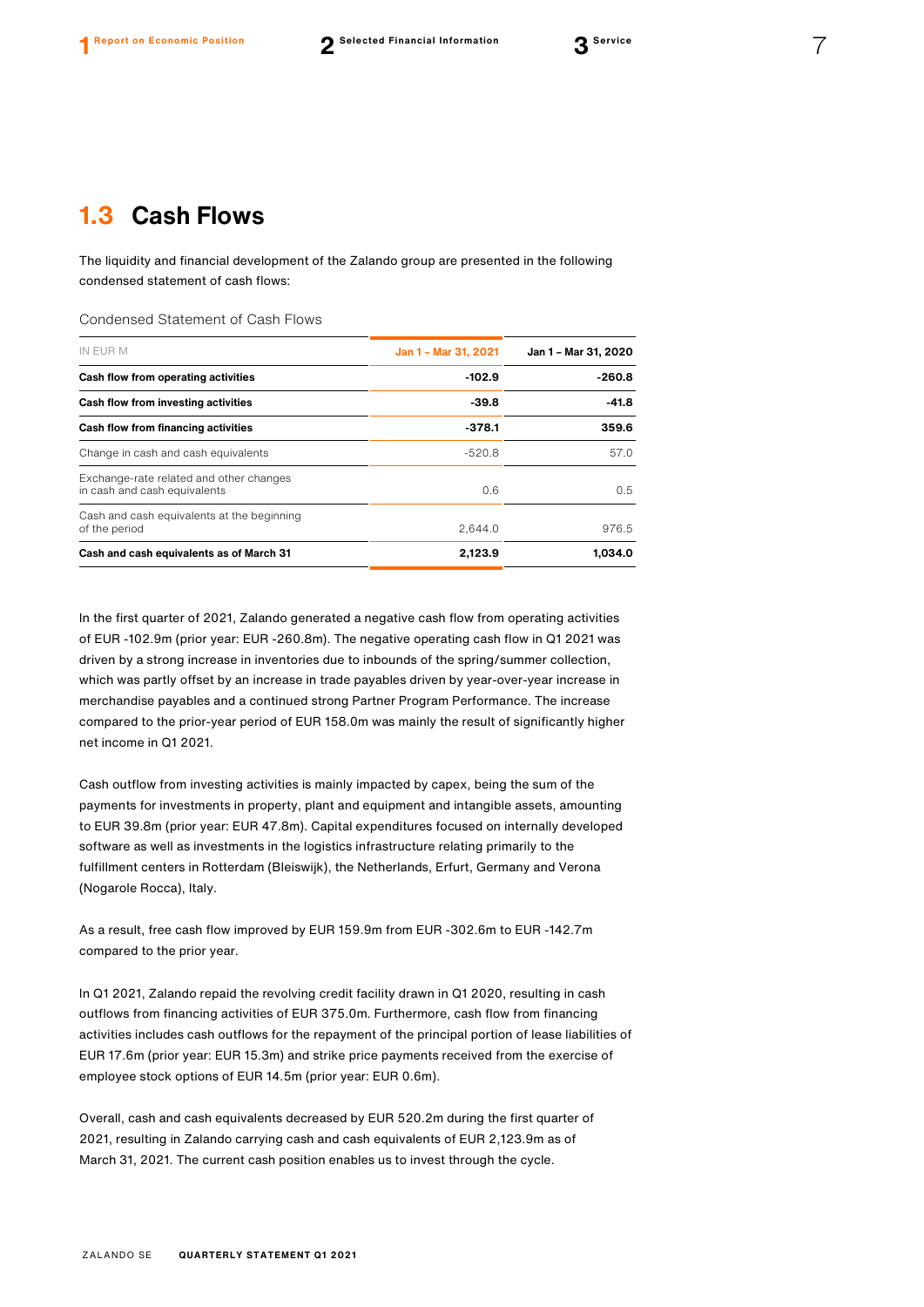### **1.3 Cash Flows**

The liquidity and financial development of the Zalando group are presented in the following condensed statement of cash flows:

Condensed Statement of Cash Flows

| IN EUR M                                                                | Jan 1 - Mar 31, 2021 | Jan 1 - Mar 31, 2020<br>$-260.8$ |  |
|-------------------------------------------------------------------------|----------------------|----------------------------------|--|
| Cash flow from operating activities                                     | $-102.9$             |                                  |  |
| Cash flow from investing activities                                     | $-39.8$              | $-41.8$                          |  |
| Cash flow from financing activities                                     | $-378.1$             | 359.6                            |  |
| Change in cash and cash equivalents                                     | $-520.8$             | 57.0                             |  |
| Exchange-rate related and other changes<br>in cash and cash equivalents | 0.6                  | 0.5                              |  |
| Cash and cash equivalents at the beginning<br>of the period             | 2.644.0              | 976.5                            |  |
| Cash and cash equivalents as of March 31                                | 2.123.9              | 1.034.0                          |  |

In the first quarter of 2021, Zalando generated a negative cash flow from operating activities of EUR -102.9m (prior year: EUR -260.8m). The negative operating cash flow in Q1 2021 was driven by a strong increase in inventories due to inbounds of the spring/summer collection, which was partly offset by an increase in trade payables driven by year-over-year increase in merchandise payables and a continued strong Partner Program Performance. The increase compared to the prior-year period of EUR 158.0m was mainly the result of significantly higher net income in Q1 2021.

Cash outflow from investing activities is mainly impacted by capex, being the sum of the payments for investments in property, plant and equipment and intangible assets, amounting to EUR 39.8m (prior year: EUR 47.8m). Capital expenditures focused on internally developed software as well as investments in the logistics infrastructure relating primarily to the fulfillment centers in Rotterdam (Bleiswijk), the Netherlands, Erfurt, Germany and Verona (Nogarole Rocca), Italy.

As a result, free cash flow improved by EUR 159.9m from EUR -302.6m to EUR -142.7m compared to the prior year.

In Q1 2021, Zalando repaid the revolving credit facility drawn in Q1 2020, resulting in cash outflows from financing activities of EUR 375.0m. Furthermore, cash flow from financing activities includes cash outflows for the repayment of the principal portion of lease liabilities of EUR 17.6m (prior year: EUR 15.3m) and strike price payments received from the exercise of employee stock options of EUR 14.5m (prior year: EUR 0.6m).

Overall, cash and cash equivalents decreased by EUR 520.2m during the first quarter of 2021, resulting in Zalando carrying cash and cash equivalents of EUR 2,123.9m as of March 31, 2021. The current cash position enables us to invest through the cycle.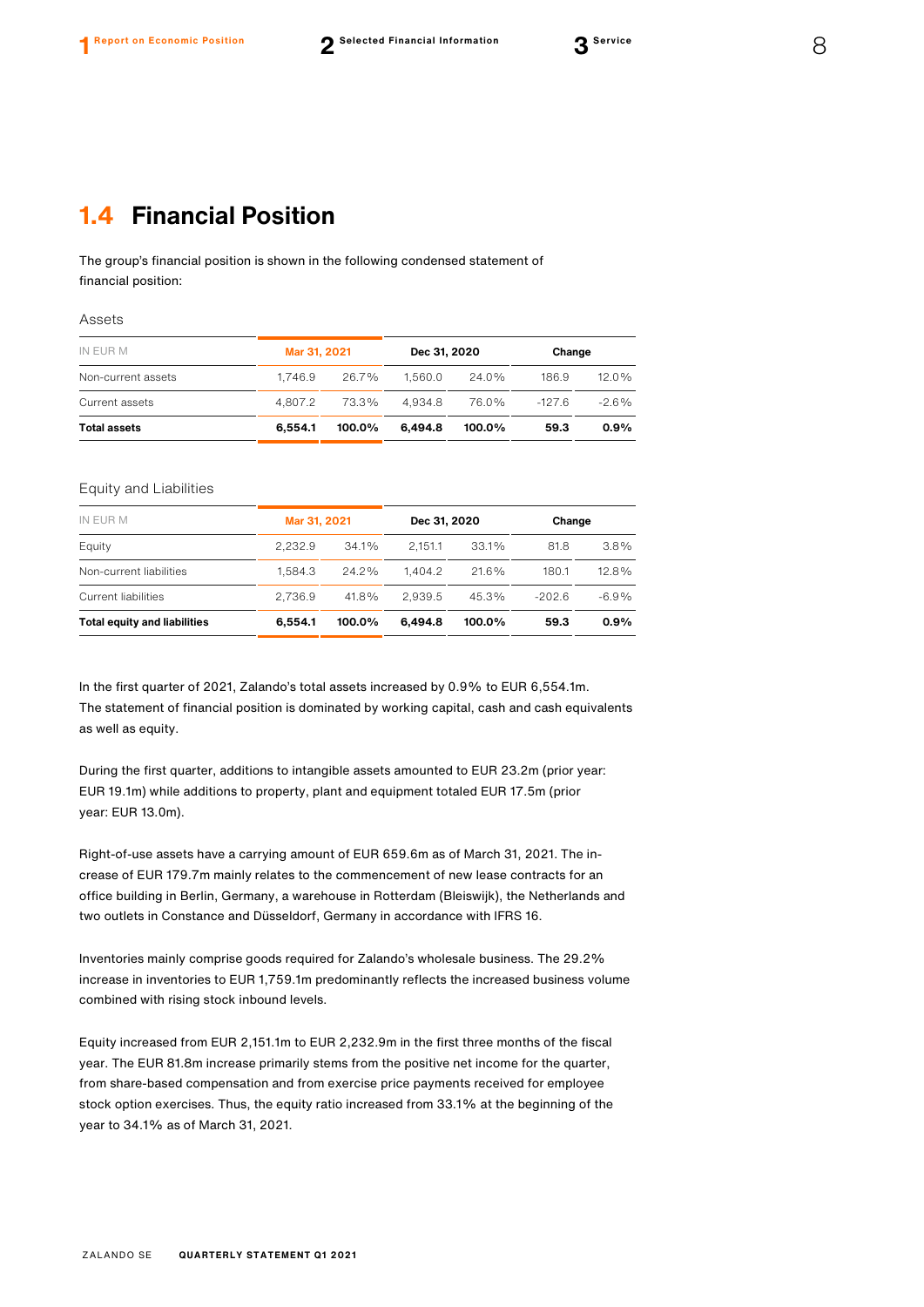### **1.4 Financial Position**

The group's financial position is shown in the following condensed statement of financial position:

Assets

| IN EUR M            | Mar 31, 2021 |           | Dec 31, 2020 |           | Change   |          |
|---------------------|--------------|-----------|--------------|-----------|----------|----------|
| Non-current assets  | 1.746.9      | 26.7%     | 1.560.0      | $24.0\%$  | 186.9    | $12.0\%$ |
| Current assets      | 4.807.2      | 73.3%     | 4.934.8      | 76.0%     | $-127.6$ | $-2.6%$  |
| <b>Total assets</b> | 6.554.1      | $100.0\%$ | 6.494.8      | $100.0\%$ | 59.3     | $0.9\%$  |

#### Equity and Liabilities

| IN EUR M                            | Mar 31, 2021 |        | Dec 31, 2020 |        | Change   |         |
|-------------------------------------|--------------|--------|--------------|--------|----------|---------|
| Equity                              | 2.232.9      | 34.1%  | 2.151.1      | 33.1%  | 81.8     | $3.8\%$ |
| Non-current liabilities             | 1.584.3      | 24.2%  | 1.404.2      | 21.6%  | 180.1    | 12.8%   |
| Current liabilities                 | 2.736.9      | 41.8%  | 2.939.5      | 45.3%  | $-202.6$ | $-6.9%$ |
| <b>Total equity and liabilities</b> | 6.554.1      | 100.0% | 6.494.8      | 100.0% | 59.3     | 0.9%    |

In the first quarter of 2021, Zalando's total assets increased by 0.9% to EUR 6,554.1m. The statement of financial position is dominated by working capital, cash and cash equivalents as well as equity.

During the first quarter, additions to intangible assets amounted to EUR 23.2m (prior year: EUR 19.1m) while additions to property, plant and equipment totaled EUR 17.5m (prior year: EUR 13.0m).

Right-of-use assets have a carrying amount of EUR 659.6m as of March 31, 2021. The increase of EUR 179.7m mainly relates to the commencement of new lease contracts for an office building in Berlin, Germany, a warehouse in Rotterdam (Bleiswijk), the Netherlands and two outlets in Constance and Düsseldorf, Germany in accordance with IFRS 16.

Inventories mainly comprise goods required for Zalando's wholesale business. The 29.2% increase in inventories to EUR 1,759.1m predominantly reflects the increased business volume combined with rising stock inbound levels.

Equity increased from EUR 2,151.1m to EUR 2,232.9m in the first three months of the fiscal year. The EUR 81.8m increase primarily stems from the positive net income for the quarter, from share-based compensation and from exercise price payments received for employee stock option exercises. Thus, the equity ratio increased from 33.1% at the beginning of the year to 34.1% as of March 31, 2021.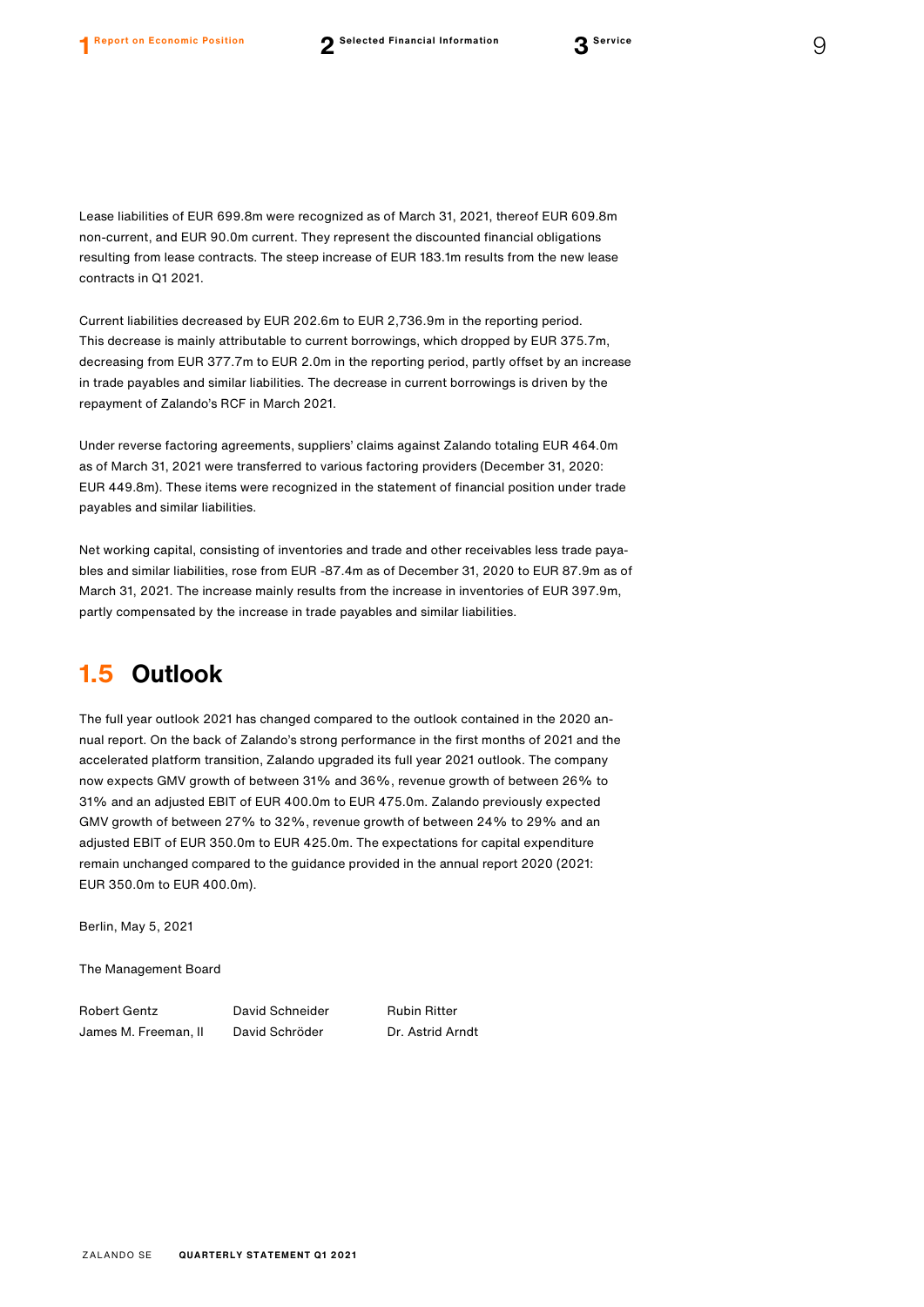Lease liabilities of EUR 699.8m were recognized as of March 31, 2021, thereof EUR 609.8m non-current, and EUR 90.0m current. They represent the discounted financial obligations resulting from lease contracts. The steep increase of EUR 183.1m results from the new lease contracts in Q1 2021.

Current liabilities decreased by EUR 202.6m to EUR 2,736.9m in the reporting period. This decrease is mainly attributable to current borrowings, which dropped by EUR 375.7m, decreasing from EUR 377.7m to EUR 2.0m in the reporting period, partly offset by an increase in trade payables and similar liabilities. The decrease in current borrowings is driven by the repayment of Zalando's RCF in March 2021.

Under reverse factoring agreements, suppliers' claims against Zalando totaling EUR 464.0m as of March 31, 2021 were transferred to various factoring providers (December 31, 2020: EUR 449.8m). These items were recognized in the statement of financial position under trade payables and similar liabilities.

Net working capital, consisting of inventories and trade and other receivables less trade payables and similar liabilities, rose from EUR -87.4m as of December 31, 2020 to EUR 87.9m as of March 31, 2021. The increase mainly results from the increase in inventories of EUR 397.9m, partly compensated by the increase in trade payables and similar liabilities.

### **1.5 Outlook**

The full year outlook 2021 has changed compared to the outlook contained in the 2020 annual report. On the back of Zalando's strong performance in the first months of 2021 and the accelerated platform transition, Zalando upgraded its full year 2021 outlook. The company now expects GMV growth of between 31% and 36%, revenue growth of between 26% to 31% and an adjusted EBIT of EUR 400.0m to EUR 475.0m. Zalando previously expected GMV growth of between 27% to 32%, revenue growth of between 24% to 29% and an adjusted EBIT of EUR 350.0m to EUR 425.0m. The expectations for capital expenditure remain unchanged compared to the guidance provided in the annual report 2020 (2021: EUR 350.0m to EUR 400.0m).

Berlin, May 5, 2021

The Management Board

Robert Gentz **David Schneider** Rubin Ritter James M. Freeman, II David Schröder Dr. Astrid Arndt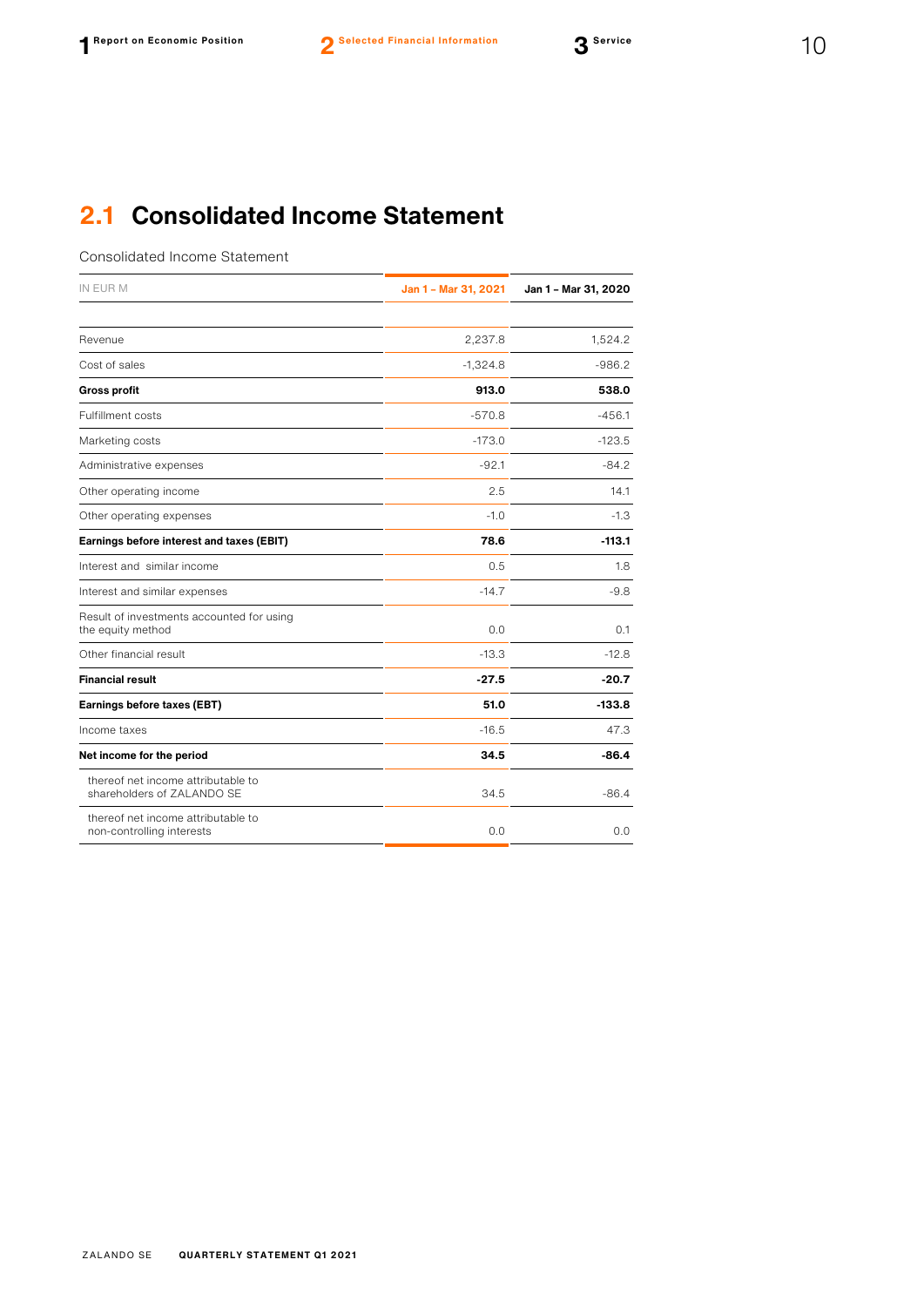### **2.1 Consolidated Income Statement**

Consolidated Income Statement

| IN EUR M                                                         | Jan 1 - Mar 31, 2021 | Jan 1 - Mar 31, 2020 |  |
|------------------------------------------------------------------|----------------------|----------------------|--|
|                                                                  |                      |                      |  |
| Revenue                                                          | 2,237.8              | 1,524.2              |  |
| Cost of sales                                                    | $-1,324.8$           | $-986.2$             |  |
| <b>Gross profit</b>                                              | 913.0                | 538.0                |  |
| <b>Fulfillment costs</b>                                         | $-570.8$             | $-456.1$             |  |
| Marketing costs                                                  | $-173.0$             | $-123.5$             |  |
| Administrative expenses                                          | $-92.1$              | $-84.2$              |  |
| Other operating income                                           | 2.5                  | 14.1                 |  |
| Other operating expenses                                         | $-1.0$               | $-1.3$               |  |
| Earnings before interest and taxes (EBIT)                        | 78.6                 | $-113.1$             |  |
| Interest and similar income                                      | 0.5                  | 1.8                  |  |
| Interest and similar expenses                                    | $-14.7$              | $-9.8$               |  |
| Result of investments accounted for using<br>the equity method   | 0.0                  | 0.1                  |  |
| Other financial result                                           | $-13.3$              | $-12.8$              |  |
| <b>Financial result</b>                                          | $-27.5$              | $-20.7$              |  |
| Earnings before taxes (EBT)                                      | 51.0                 | $-133.8$             |  |
| Income taxes                                                     | $-16.5$              | 47.3                 |  |
| Net income for the period                                        | 34.5                 | $-86.4$              |  |
| thereof net income attributable to<br>shareholders of ZALANDO SE | 34.5                 | $-86.4$              |  |
| thereof net income attributable to<br>non-controlling interests  | 0.0                  | 0.0                  |  |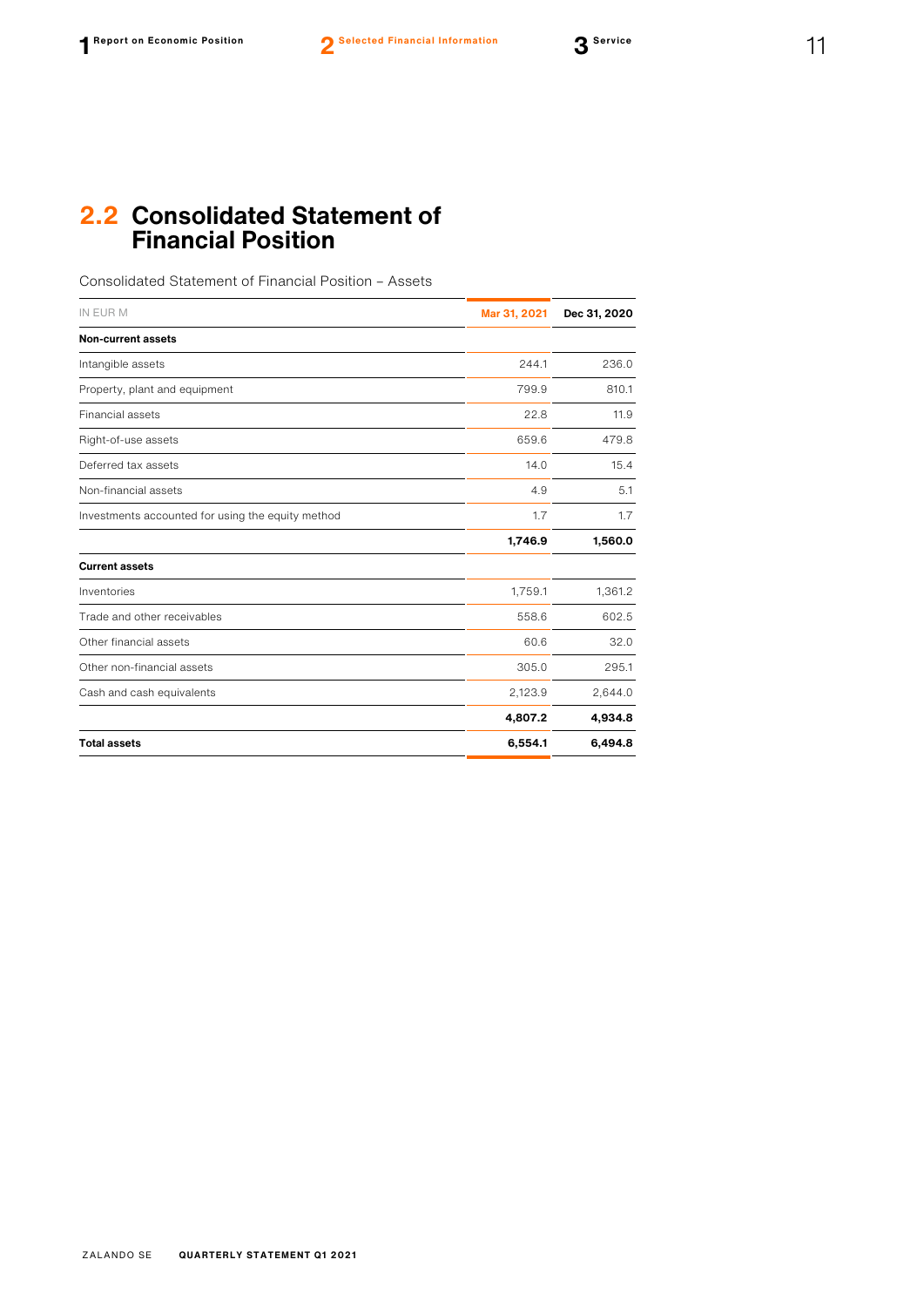### **2.2 Consolidated Statement of Financial Position**

Consolidated Statement of Financial Position – Assets

| IN EUR M                                          | Mar 31, 2021 | Dec 31, 2020 |
|---------------------------------------------------|--------------|--------------|
| <b>Non-current assets</b>                         |              |              |
| Intangible assets                                 | 244.1        | 236.0        |
| Property, plant and equipment                     | 799.9        | 810.1        |
| Financial assets                                  | 22.8         | 11.9         |
| Right-of-use assets                               | 659.6        | 479.8        |
| Deferred tax assets                               | 14.0         | 15.4         |
| Non-financial assets                              | 4.9          | 5.1          |
| Investments accounted for using the equity method | 1.7          | 1.7          |
|                                                   | 1,746.9      | 1,560.0      |
| <b>Current assets</b>                             |              |              |
| Inventories                                       | 1,759.1      | 1,361.2      |
| Trade and other receivables                       | 558.6        | 602.5        |
| Other financial assets                            | 60.6         | 32.0         |
| Other non-financial assets                        | 305.0        | 295.1        |
| Cash and cash equivalents                         | 2,123.9      | 2,644.0      |
|                                                   | 4,807.2      | 4,934.8      |
| <b>Total assets</b>                               | 6,554.1      | 6,494.8      |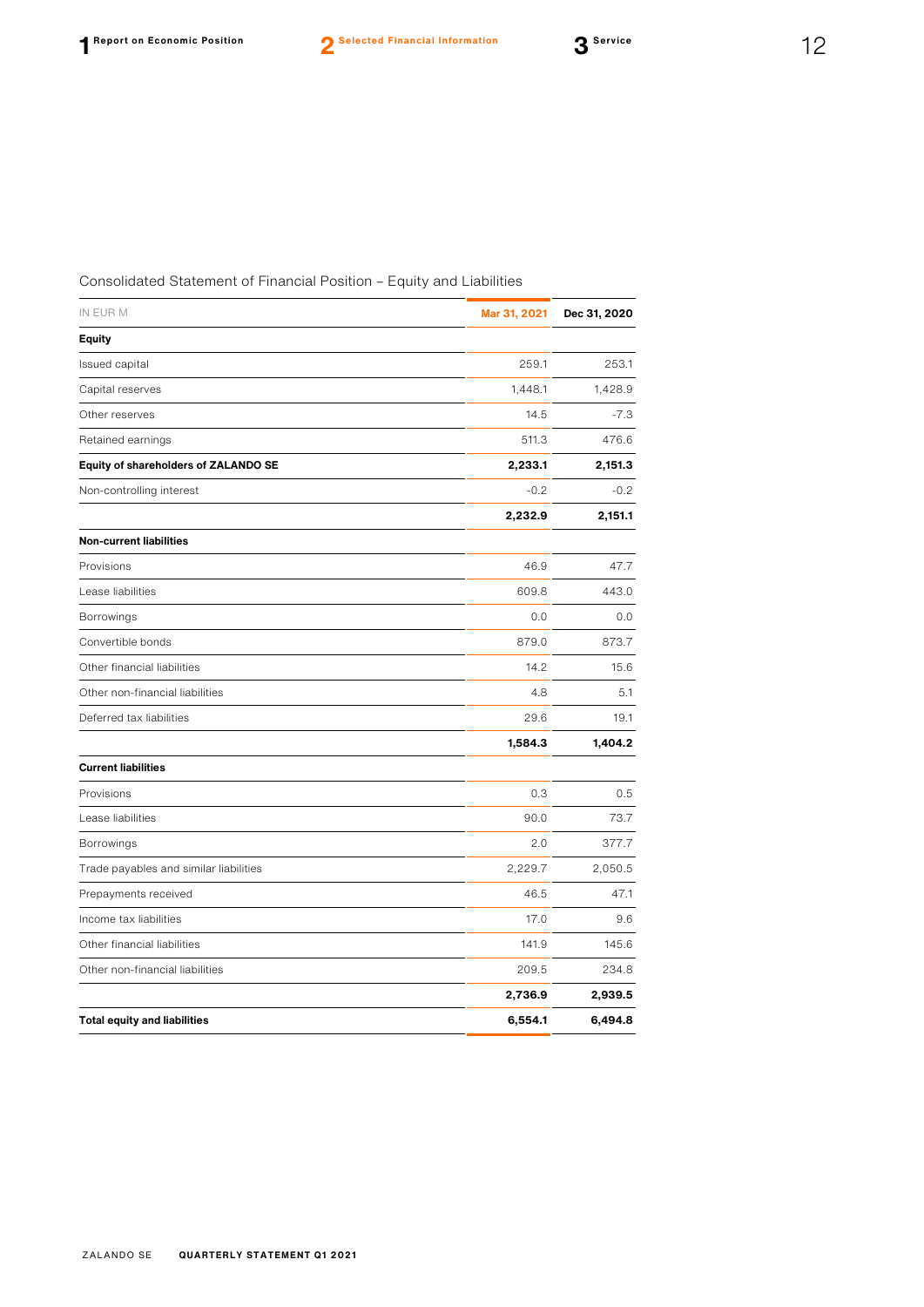### Consolidated Statement of Financial Position – Equity and Liabilities

| IN EUR M                               | Mar 31, 2021 | Dec 31, 2020 |
|----------------------------------------|--------------|--------------|
| <b>Equity</b>                          |              |              |
| Issued capital                         | 259.1        | 253.1        |
| Capital reserves                       | 1,448.1      | 1,428.9      |
| Other reserves                         | 14.5         | $-7.3$       |
| Retained earnings                      | 511.3        | 476.6        |
| Equity of shareholders of ZALANDO SE   | 2,233.1      | 2,151.3      |
| Non-controlling interest               | $-0.2$       | $-0.2$       |
|                                        | 2,232.9      | 2,151.1      |
| <b>Non-current liabilities</b>         |              |              |
| Provisions                             | 46.9         | 47.7         |
| Lease liabilities                      | 609.8        | 443.0        |
| Borrowings                             | 0.0          | 0.0          |
| Convertible bonds                      | 879.0        | 873.7        |
| Other financial liabilities            | 14.2         | 15.6         |
| Other non-financial liabilities        | 4.8          | 5.1          |
| Deferred tax liabilities               | 29.6         | 19.1         |
|                                        | 1,584.3      | 1,404.2      |
| <b>Current liabilities</b>             |              |              |
| Provisions                             | 0.3          | 0.5          |
| Lease liabilities                      | 90.0         | 73.7         |
| Borrowings                             | 2.0          | 377.7        |
| Trade payables and similar liabilities | 2,229.7      | 2,050.5      |
| Prepayments received                   | 46.5         | 47.1         |
| Income tax liabilities                 | 17.0         | 9.6          |
| Other financial liabilities            | 141.9        | 145.6        |
| Other non-financial liabilities        | 209.5        | 234.8        |
|                                        | 2,736.9      | 2,939.5      |
| <b>Total equity and liabilities</b>    | 6,554.1      | 6,494.8      |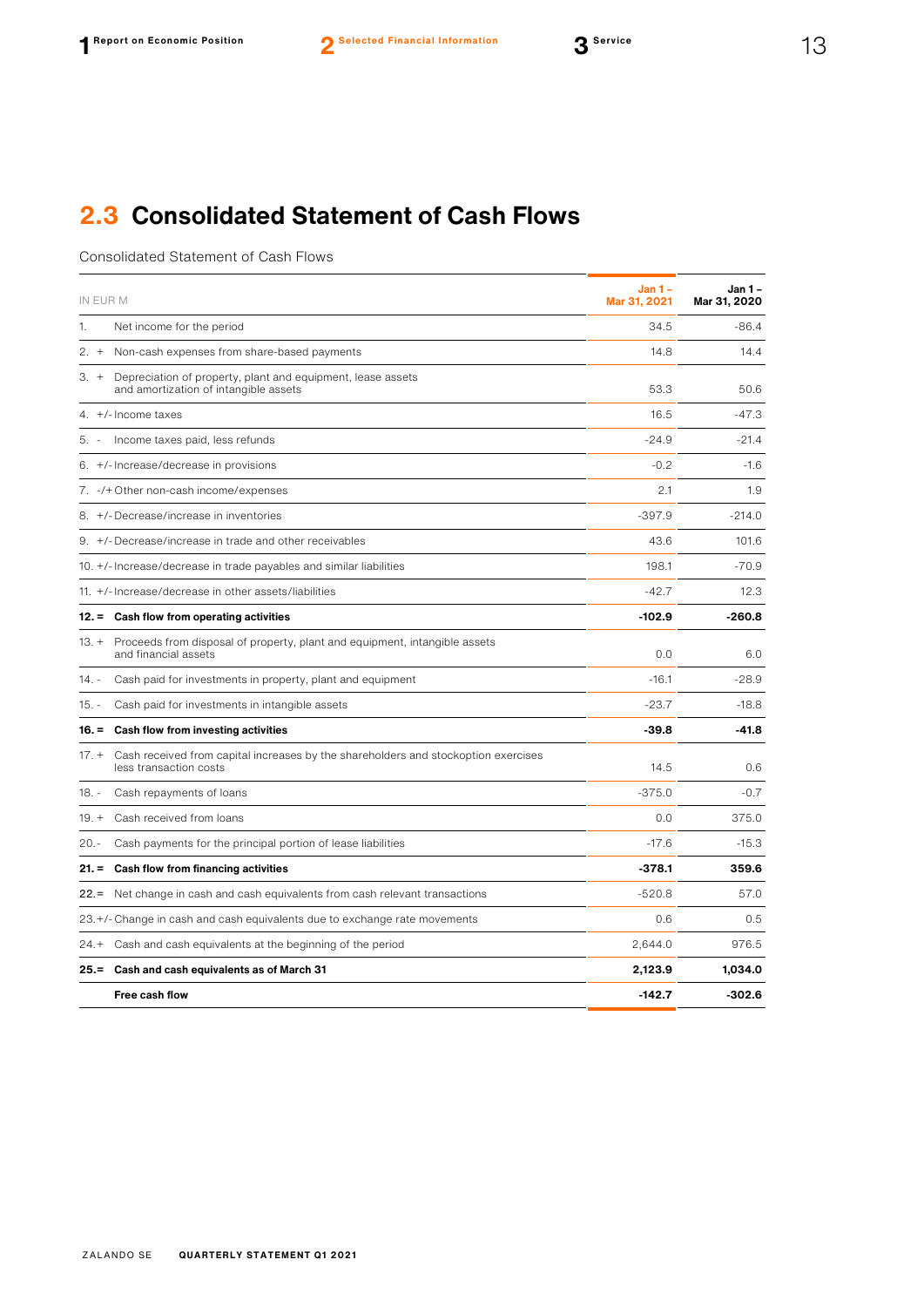## **2.3 Consolidated Statement of Cash Flows**

Consolidated Statement of Cash Flows

| IN EUR M |                                                                                                              | <b>Jan 1 -</b><br>Mar 31, 2021 | Jan 1 -<br>Mar 31, 2020 |
|----------|--------------------------------------------------------------------------------------------------------------|--------------------------------|-------------------------|
| 1.       | Net income for the period                                                                                    | 34.5                           | $-86.4$                 |
| $2. +$   | Non-cash expenses from share-based payments                                                                  | 14.8                           | 14.4                    |
| $3 +$    | Depreciation of property, plant and equipment, lease assets<br>and amortization of intangible assets         | 53.3                           | 50.6                    |
|          | 4. $+/-$ Income taxes                                                                                        | 16.5                           | -47.3                   |
| 5. -     | Income taxes paid, less refunds                                                                              | $-24.9$                        | $-21.4$                 |
|          | 6. +/- Increase/decrease in provisions                                                                       | $-0.2$                         | $-1.6$                  |
|          | 7. -/+ Other non-cash income/expenses                                                                        | 2.1                            | 1.9                     |
|          | 8. +/-Decrease/increase in inventories                                                                       | $-397.9$                       | $-214.0$                |
|          | 9. +/-Decrease/increase in trade and other receivables                                                       | 43.6                           | 101.6                   |
|          | 10. +/- Increase/decrease in trade payables and similar liabilities                                          | 198.1                          | $-70.9$                 |
|          | 11. +/- Increase/decrease in other assets/liabilities                                                        | $-42.7$                        | 12.3                    |
|          | 12. = Cash flow from operating activities                                                                    | $-102.9$                       | -260.8                  |
| $13. +$  | Proceeds from disposal of property, plant and equipment, intangible assets<br>and financial assets           | 0.0                            | 6.0                     |
| 14. -    | Cash paid for investments in property, plant and equipment                                                   | $-16.1$                        | $-28.9$                 |
| $15. -$  | Cash paid for investments in intangible assets                                                               | $-23.7$                        | $-18.8$                 |
|          | 16. = Cash flow from investing activities                                                                    | $-39.8$                        | $-41.8$                 |
| $17. +$  | Cash received from capital increases by the shareholders and stockoption exercises<br>less transaction costs | 14.5                           | 0.6                     |
| 18. -    | Cash repayments of loans                                                                                     | $-375.0$                       | $-0.7$                  |
| $19. +$  | Cash received from loans                                                                                     | 0.0                            | 375.0                   |
| $20. -$  | Cash payments for the principal portion of lease liabilities                                                 | $-17.6$                        | $-15.3$                 |
| $21. =$  | Cash flow from financing activities                                                                          | $-378.1$                       | 359.6                   |
| $22 =$   | Net change in cash and cash equivalents from cash relevant transactions                                      | $-520.8$                       | 57.0                    |
|          | 23.+/- Change in cash and cash equivalents due to exchange rate movements                                    | 0.6                            | 0.5                     |
| $24. +$  | Cash and cash equivalents at the beginning of the period                                                     | 2,644.0                        | 976.5                   |
|          | 25. = Cash and cash equivalents as of March 31                                                               | 2,123.9                        | 1,034.0                 |
|          | <b>Free cash flow</b>                                                                                        | $-142.7$                       | $-302.6$                |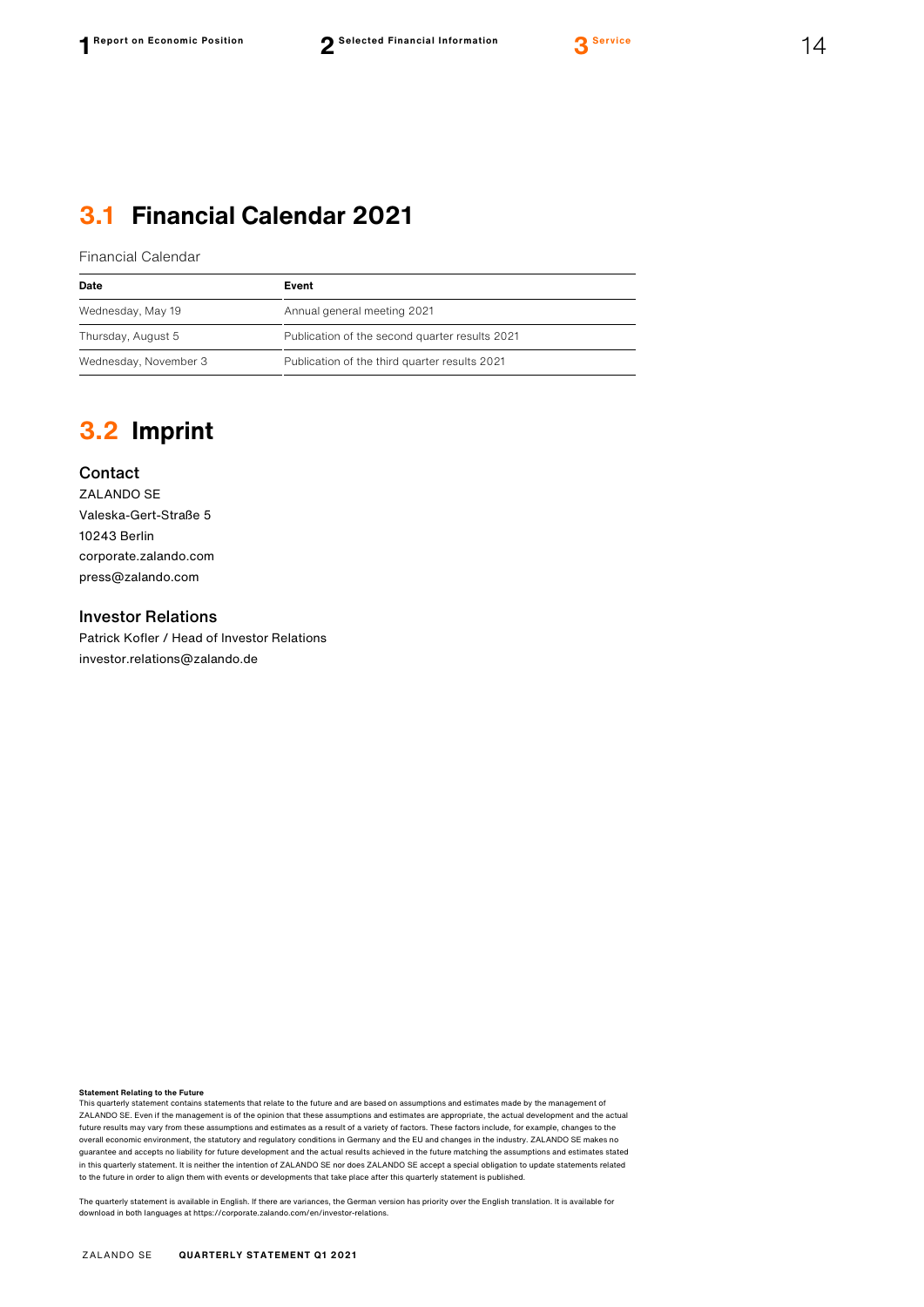### **3.1 Financial Calendar 2021**

Financial Calendar

| Date                  | Event                                          |
|-----------------------|------------------------------------------------|
| Wednesday, May 19     | Annual general meeting 2021                    |
| Thursday, August 5    | Publication of the second quarter results 2021 |
| Wednesday, November 3 | Publication of the third quarter results 2021  |

### **3.2 Imprint**

### Contact

ZALANDO SE Valeska-Gert-Straße 5 10243 Berlin [corporate.zalando.com](http://corporate.zalando.com/) [press@zalando.com](mailto:press@zalando.com)

#### Investor Relations

Patrick Kofler / Head of Investor Relations [investor.relations@zalando.de](mailto:investor.relations@zalando.de)

**Statement Relating to the Future**<br>This quarterly statement contains statements that relate to the future and are based on assumptions and estimates made by the management of ZALANDO SE. Even if the management is of the opinion that these assumptions and estimates are appropriate, the actual development and the actual future results may vary from these assumptions and estimates as a result of a variety of factors. These factors include, for example, changes to the overall economic environment, the statutory and regulatory conditions in Germany and the EU and changes in the industry. ZALANDO SE makes no guarantee and accepts no liability for future development and the actual results achieved in the future matching the assumptions and estimates stated in this quarterly statement. It is neither the intention of ZALANDO SE nor does ZALANDO SE accept a special obligation to update statements related to the future in order to align them with events or developments that take place after this quarterly statement is published.

The quarterly statement is available in English. If there are variances, the German version has priority over the English translation. It is available for download in both languages at [https://corporate.zalando.com/en/investor-relations.](https://corporate.zalando.com/en/investor-relations)